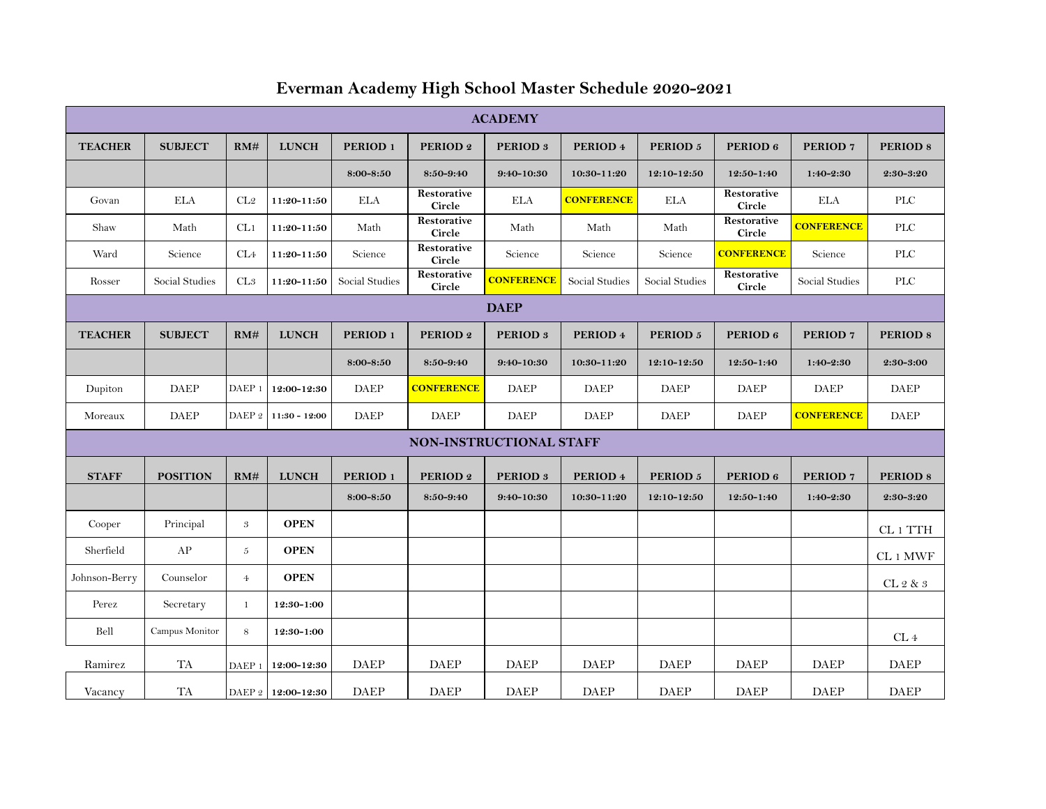| <b>ACADEMY</b>          |                 |                   |                    |                     |                              |                     |                   |                     |                              |                     |                     |
|-------------------------|-----------------|-------------------|--------------------|---------------------|------------------------------|---------------------|-------------------|---------------------|------------------------------|---------------------|---------------------|
| <b>TEACHER</b>          | <b>SUBJECT</b>  | RM#               | <b>LUNCH</b>       | PERIOD <sub>1</sub> | PERIOD 2                     | PERIOD <sub>3</sub> | PERIOD 4          | PERIOD 5            | PERIOD 6                     | PERIOD <sub>7</sub> | PERIOD <sub>8</sub> |
|                         |                 |                   |                    | 8:00-8:50           | 8:50-9:40                    | 9:40-10:30          | 10:30-11:20       | 12:10-12:50         | 12:50-1:40                   | $1:40-2:30$         | $2:30-3:20$         |
| Govan                   | <b>ELA</b>      | CL2               | 11:20-11:50        | <b>ELA</b>          | Restorative<br>Circle        | <b>ELA</b>          | <b>CONFERENCE</b> | <b>ELA</b>          | Restorative<br>Circle        | <b>ELA</b>          | <b>PLC</b>          |
| Shaw                    | Math            | CL1               | $11:20 - 11:50$    | Math                | Restorative<br><b>Circle</b> | Math                | Math              | Math                | Restorative<br><b>Circle</b> | <b>CONFERENCE</b>   | <b>PLC</b>          |
| Ward                    | Science         | CL <sub>4</sub>   | 11:20-11:50        | Science             | Restorative<br>Circle        | Science             | Science           | Science             | <b>CONFERENCE</b>            | Science             | PLC                 |
| Rosser                  | Social Studies  | CL3               | 11:20-11:50        | Social Studies      | Restorative<br>Circle        | <b>CONFERENCE</b>   | Social Studies    | Social Studies      | Restorative<br>Circle        | Social Studies      | <b>PLC</b>          |
| <b>DAEP</b>             |                 |                   |                    |                     |                              |                     |                   |                     |                              |                     |                     |
| <b>TEACHER</b>          | <b>SUBJECT</b>  | RM#               | <b>LUNCH</b>       | PERIOD <sub>1</sub> | PERIOD <sub>2</sub>          | PERIOD <sub>3</sub> | PERIOD 4          | PERIOD <sub>5</sub> | PERIOD 6                     | PERIOD <sub>7</sub> | <b>PERIOD 8</b>     |
|                         |                 |                   |                    | 8:00-8:50           | 8:50-9:40                    | 9:40-10:30          | 10:30-11:20       | 12:10-12:50         | 12:50-1:40                   | $1:40-2:30$         | 2:30-3:00           |
| Dupiton                 | DAEP            | DAEP <sub>1</sub> | 12:00-12:30        | <b>DAEP</b>         | <b>CONFERENCE</b>            | <b>DAEP</b>         | <b>DAEP</b>       | <b>DAEP</b>         | <b>DAEP</b>                  | <b>DAEP</b>         | <b>DAEP</b>         |
| Moreaux                 | DAEP            | DAEP <sub>2</sub> | $11:30 - 12:00$    | <b>DAEP</b>         | DAEP                         | <b>DAEP</b>         | <b>DAEP</b>       | <b>DAEP</b>         | <b>DAEP</b>                  | <b>CONFERENCE</b>   | <b>DAEP</b>         |
| NON-INSTRUCTIONAL STAFF |                 |                   |                    |                     |                              |                     |                   |                     |                              |                     |                     |
| <b>STAFF</b>            | <b>POSITION</b> | RM#               | <b>LUNCH</b>       | PERIOD <sub>1</sub> | PERIOD <sub>2</sub>          | PERIOD <sub>3</sub> | PERIOD 4          | PERIOD <sub>5</sub> | PERIOD 6                     | PERIOD <sub>7</sub> | PERIOD <sub>8</sub> |
|                         |                 |                   |                    | 8:00-8:50           | 8:50-9:40                    | 9:40-10:30          | 10:30-11:20       | 12:10-12:50         | 12:50-1:40                   | $1:40-2:30$         | $2:30 - 3:20$       |
| Cooper                  | Principal       | $\mathfrak{B}$    | <b>OPEN</b>        |                     |                              |                     |                   |                     |                              |                     | CL 1 TTH            |
| Sherfield               | AP              | 5                 | <b>OPEN</b>        |                     |                              |                     |                   |                     |                              |                     | CL 1 MWF            |
| Johnson-Berry           | Counselor       | $\overline{4}$    | <b>OPEN</b>        |                     |                              |                     |                   |                     |                              |                     | CL 2 & 3            |
| Perez                   | Secretary       | $\mathbf{1}$      | 12:30-1:00         |                     |                              |                     |                   |                     |                              |                     |                     |
| Bell                    | Campus Monitor  | 8                 | 12:30-1:00         |                     |                              |                     |                   |                     |                              |                     | ${\rm CL}$ $4$      |
| Ramirez                 | TA              | DAEP <sub>1</sub> | 12:00-12:30        | <b>DAEP</b>         | <b>DAEP</b>                  | <b>DAEP</b>         | <b>DAEP</b>       | <b>DAEP</b>         | <b>DAEP</b>                  | <b>DAEP</b>         | DAEP                |
| Vacancy                 | <b>TA</b>       |                   | DAEP 2 12:00-12:30 | <b>DAEP</b>         | <b>DAEP</b>                  | <b>DAEP</b>         | <b>DAEP</b>       | <b>DAEP</b>         | <b>DAEP</b>                  | <b>DAEP</b>         | <b>DAEP</b>         |

## **Everman Academy High School Master Schedule 2020-2021**